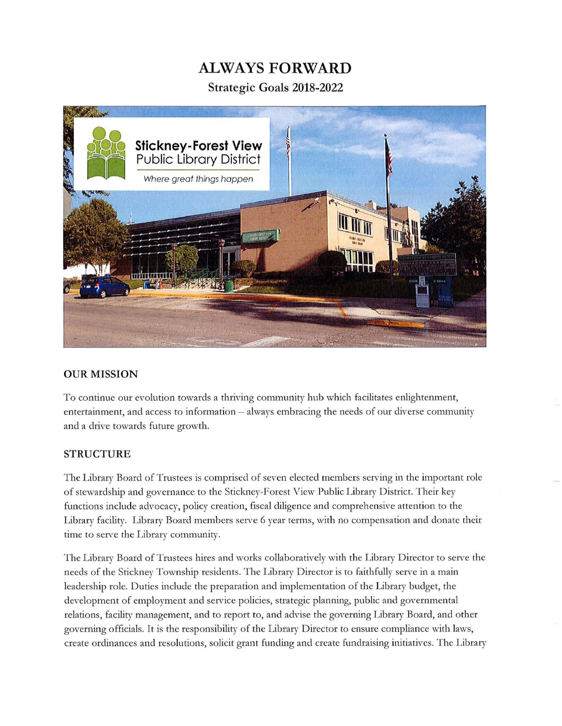## **ALWAYS FORWARD**

**Strategic Goals 2018-2022** 



#### **OUR MISSION**

To continue our evolution towards a thriving community hub which facilitates enlightenment, entertainment, and access to information - always embracing the needs of our diverse community and a drive towards future growth.

#### **STRUCTURE**

The Library Board of Trustees is comprised of seven elected members serving in the important role of stewardship and governance to the Stickney-Forest View Public Library District. T heir key functions include advocacy, policy creation, fiscal diligence and comprehensive attention to the Library facility. Library Board members serve 6 year terms, with no compensation and donate their time to serve the Library community.

The Library Board of Trustees hires and works collaboratively with the Library Director to serve the needs of the Stickney Township residents. The Library Director is to faithfully serve in a main leadership role. Duties include the preparation and implementation of the Library budget, the development of employment and service policies, strategic planning, public and governmental relations, facility management, and to report to, and advise the governing Library Board, and other governing officials. It is the responsibility of the Library Director to ensure compliance with laws, create ordinances and resolutions, solicit grant funding and create fundraising initiatives. The Library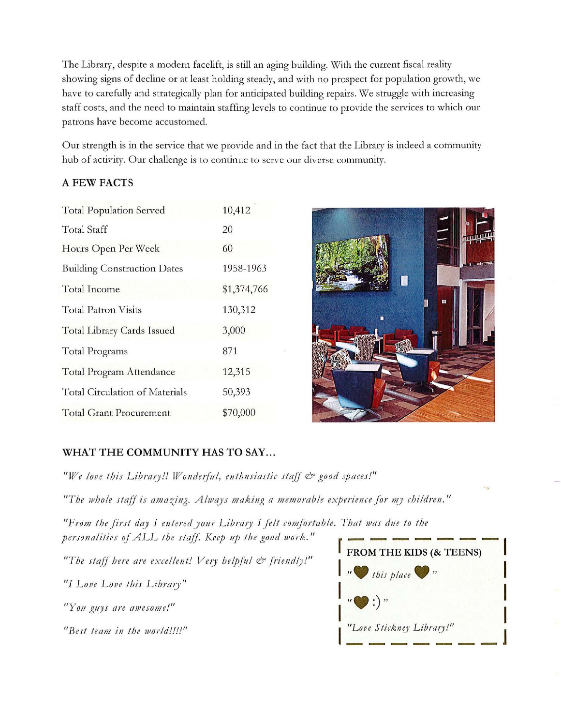The Library, despite a modern facelift, is still an aging building. With the current fiscal reality showing signs of decline or at least holding steady, and with no prospect for population growth, we have to carefully and strategically plan for anticipated building repairs. We struggle with increasing staff costs, and the need to maintain staffing levels to continue to provide the services to which our patrons have become accustomed.

Our strength is in the service that we provide and in the fact that the Library is indeed a community hub of activity. Our challenge is to continue to serve our diverse community.

#### A FEW FACTS

| <b>Total Population Served</b>        | 10,412      |
|---------------------------------------|-------------|
| <b>Total Staff</b>                    | 20          |
| Hours Open Per Week                   | 60          |
| <b>Building Construction Dates</b>    | 1958-1963   |
| <b>Total Income</b>                   | \$1,374,766 |
| <b>Total Patron Visits</b>            | 130,312     |
| Total Library Cards Issued            | 3,000       |
| <b>Total Programs</b>                 | 871         |
| Total Program Attendance              | 12,315      |
| <b>Total Circulation of Materials</b> | 50,393      |
| Total Grant Procurement               | \$70,000    |



## WHAT THE COMMUNITY HAS TO SAY...

*" We love this Libra1y!! Wo11de1ji1!, e11th11siastic stajf* & *good Jpaces!"* 

*" The 1vhole stajf is ama zing. A/Jvays making a memorable experience for my children."* 

*"From the first day I entered y our L ib ra1y I felt comfo rtable. That was due to the personalities of ALL the staff. Keep up the good work."* **FROM THE KIDS (& TEENS)** 

The staff here are excellent! Very helpful  $\mathcal O$  friendly!"

"*I Love Love this Library*"

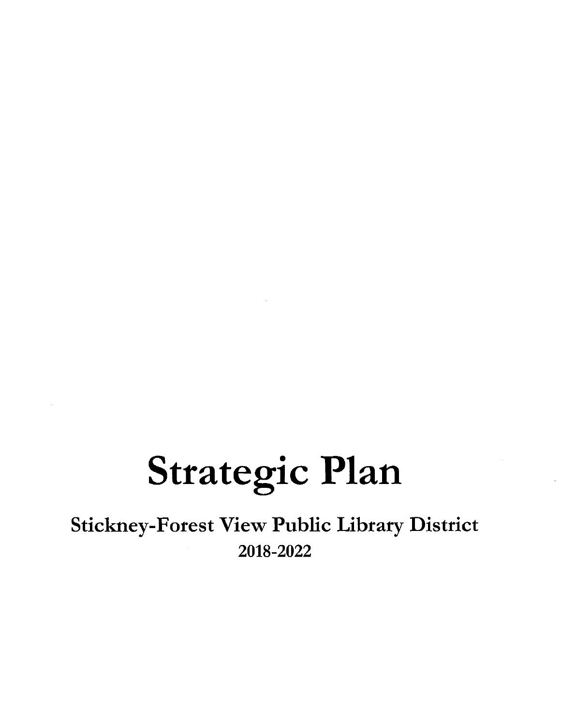# **Strategic Plan**

Stickney-Forest View Public Library District 2018-2022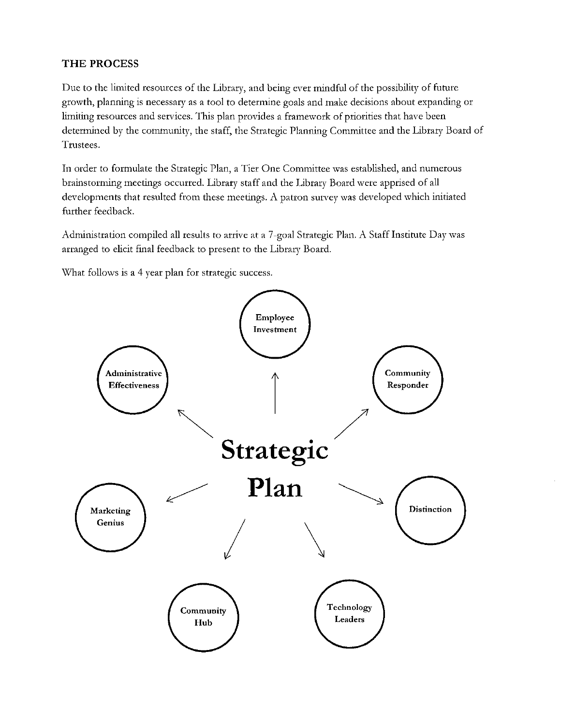#### **THE PROCESS**

Due to the limited resources of the Library, and being ever mindful of the possibility of future growth, planning is necessary as a tool to determine goals and make decisions about expanding or limiting resources and services. This plan provides a framework of priorities that have been determined by the community, the staff, the Strategic Planning Committee and the Library Board of Trustees.

In order to formulate the Strategic Plan, a Tier One Committee was established, and numerous brainstorming meetings occurred. Library staff and the Library Board were apprised of all developments that resulted from these meetings. A patron survey was developed which initiated further feedback.

Administration compiled all results to arrive at a 7-goal Strategic Plan. A Staff Institute Day was arranged to elicit final feedback to present to the Library Board.

\Vhat follows is a 4 year plan for strategic success.

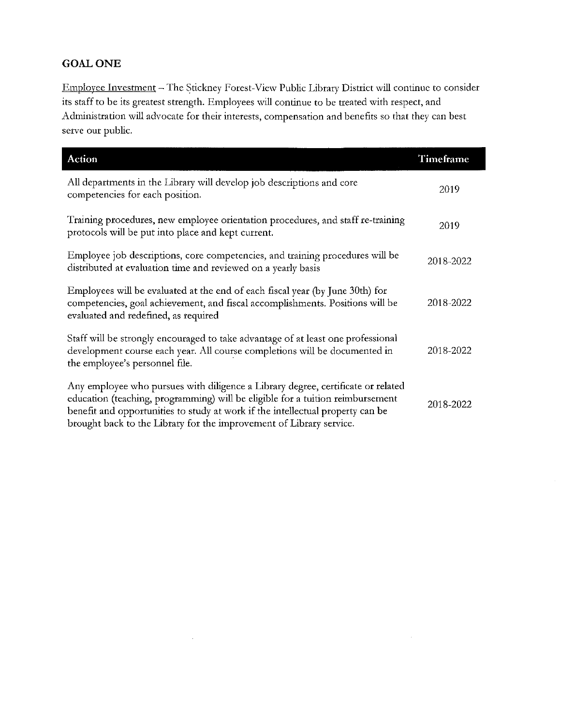## **GOAL ONE**

Employee Investment - The Stickney Forest-View Public Library District will continue to consider its staff to be its greatest strength. Employees will continue to be treated with respect, and Administration will advocate for their interests, compensation and benefits so that they can best serve our public.

| Action                                                                                                                                                                                                                                                                                                                      | Timeframe |
|-----------------------------------------------------------------------------------------------------------------------------------------------------------------------------------------------------------------------------------------------------------------------------------------------------------------------------|-----------|
| All departments in the Library will develop job descriptions and core<br>competencies for each position.                                                                                                                                                                                                                    | 2019      |
| Training procedures, new employee orientation procedures, and staff re-training<br>protocols will be put into place and kept current.                                                                                                                                                                                       | 2019      |
| Employee job descriptions, core competencies, and training procedures will be<br>distributed at evaluation time and reviewed on a yearly basis                                                                                                                                                                              | 2018-2022 |
| Employees will be evaluated at the end of each fiscal year (by June 30th) for<br>competencies, goal achievement, and fiscal accomplishments. Positions will be<br>evaluated and redefined, as required                                                                                                                      | 2018-2022 |
| Staff will be strongly encouraged to take advantage of at least one professional<br>development course each year. All course completions will be documented in<br>the employee's personnel file.                                                                                                                            | 2018-2022 |
| Any employee who pursues with diligence a Library degree, certificate or related<br>education (teaching, programming) will be eligible for a tuition reimbursement<br>benefit and opportunities to study at work if the intellectual property can be<br>brought back to the Library for the improvement of Library service. | 2018-2022 |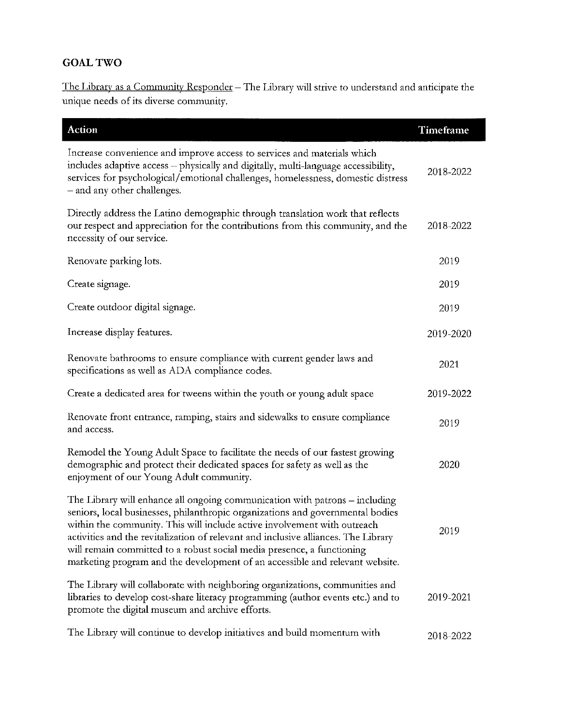## **GOAL TWO**

The Library as a Community Responder - The Library will strive to understand and anticipate the unique needs of its diverse community.

| Action                                                                                                                                                                                                                                                                                                                                                                                                                                                                                    | Timeframe |
|-------------------------------------------------------------------------------------------------------------------------------------------------------------------------------------------------------------------------------------------------------------------------------------------------------------------------------------------------------------------------------------------------------------------------------------------------------------------------------------------|-----------|
| Increase convenience and improve access to services and materials which<br>includes adaptive access - physically and digitally, multi-language accessibility,<br>services for psychological/emotional challenges, homelessness, domestic distress<br>- and any other challenges.                                                                                                                                                                                                          | 2018-2022 |
| Directly address the Latino demographic through translation work that reflects<br>our respect and appreciation for the contributions from this community, and the<br>necessity of our service.                                                                                                                                                                                                                                                                                            | 2018-2022 |
| Renovate parking lots.                                                                                                                                                                                                                                                                                                                                                                                                                                                                    | 2019      |
| Create signage.                                                                                                                                                                                                                                                                                                                                                                                                                                                                           | 2019      |
| Create outdoor digital signage.                                                                                                                                                                                                                                                                                                                                                                                                                                                           | 2019      |
| Increase display features.                                                                                                                                                                                                                                                                                                                                                                                                                                                                | 2019-2020 |
| Renovate bathrooms to ensure compliance with current gender laws and<br>specifications as well as ADA compliance codes.                                                                                                                                                                                                                                                                                                                                                                   | 2021      |
| Create a dedicated area for tweens within the youth or young adult space                                                                                                                                                                                                                                                                                                                                                                                                                  | 2019-2022 |
| Renovate front entrance, ramping, stairs and sidewalks to ensure compliance<br>and access.                                                                                                                                                                                                                                                                                                                                                                                                | 2019      |
| Remodel the Young Adult Space to facilitate the needs of our fastest growing<br>demographic and protect their dedicated spaces for safety as well as the<br>enjoyment of our Young Adult community.                                                                                                                                                                                                                                                                                       | 2020      |
| The Library will enhance all ongoing communication with patrons - including<br>seniors, local businesses, philanthropic organizations and governmental bodies<br>within the community. This will include active involvement with outreach<br>activities and the revitalization of relevant and inclusive alliances. The Library<br>will remain committed to a robust social media presence, a functioning<br>marketing program and the development of an accessible and relevant website. | 2019      |
| The Library will collaborate with neighboring organizations, communities and<br>libraries to develop cost-share literacy programming (author events etc.) and to<br>promote the digital museum and archive efforts.                                                                                                                                                                                                                                                                       | 2019-2021 |
| The Library will continue to develop initiatives and build momentum with                                                                                                                                                                                                                                                                                                                                                                                                                  | 2018-2022 |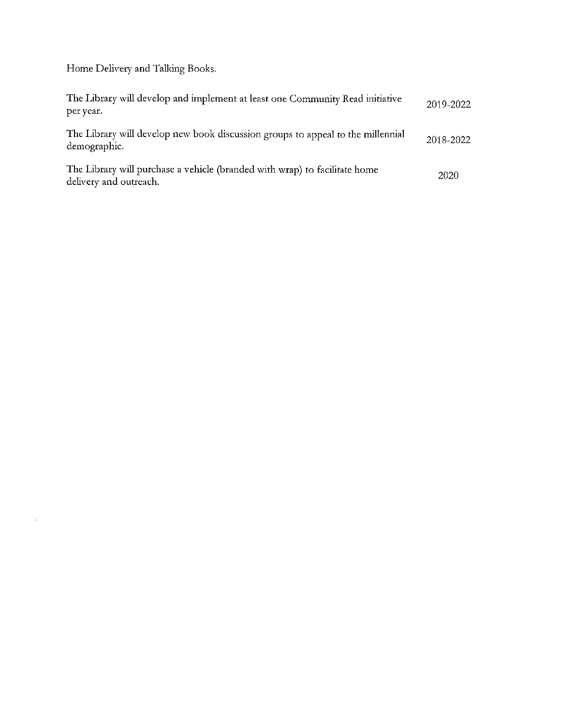Home Delivery and Talking Books.

 $\sim 10^{-11}$ 

| The Library will develop and implement at least one Community Read initiative<br>per year.           | 2019-2022 |
|------------------------------------------------------------------------------------------------------|-----------|
| The Library will develop new book discussion groups to appeal to the millennial<br>demographic.      | 2018-2022 |
| The Library will purchase a vehicle (branded with wrap) to facilitate home<br>delivery and outreach. | 2020      |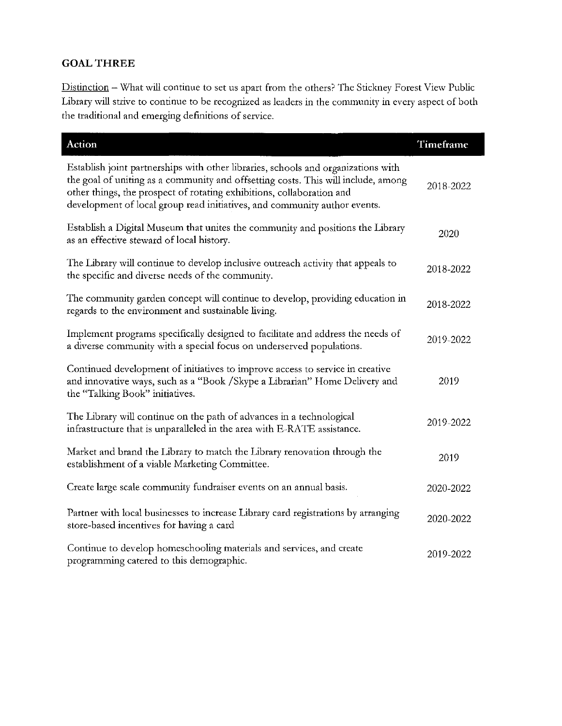## **GOAL THREE**

I

Distinction - What will continue to set us apart from the others? The Stickney Forest View Public Library will strive to continue to be recognized as leaders in the community in every aspect of both the traditional and emerging definitions of service.

| Action                                                                                                                                                                                                                                                                                                                       | Timeframe |
|------------------------------------------------------------------------------------------------------------------------------------------------------------------------------------------------------------------------------------------------------------------------------------------------------------------------------|-----------|
| Establish joint partnerships with other libraries, schools and organizations with<br>the goal of uniting as a community and offsetting costs. This will include, among<br>other things, the prospect of rotating exhibitions, collaboration and<br>development of local group read initiatives, and community author events. | 2018-2022 |
| Establish a Digital Museum that unites the community and positions the Library<br>as an effective steward of local history.                                                                                                                                                                                                  | 2020      |
| The Library will continue to develop inclusive outreach activity that appeals to<br>the specific and diverse needs of the community.                                                                                                                                                                                         | 2018-2022 |
| The community garden concept will continue to develop, providing education in<br>regards to the environment and sustainable living.                                                                                                                                                                                          | 2018-2022 |
| Implement programs specifically designed to facilitate and address the needs of<br>a diverse community with a special focus on underserved populations.                                                                                                                                                                      | 2019-2022 |
| Continued development of initiatives to improve access to service in creative<br>and innovative ways, such as a "Book /Skype a Librarian" Home Delivery and<br>the "Talking Book" initiatives.                                                                                                                               | 2019      |
| The Library will continue on the path of advances in a technological<br>infrastructure that is unparalleled in the area with E-RATE assistance.                                                                                                                                                                              | 2019-2022 |
| Market and brand the Library to match the Library renovation through the<br>establishment of a viable Marketing Committee.                                                                                                                                                                                                   | 2019      |
| Create large scale community fundraiser events on an annual basis.                                                                                                                                                                                                                                                           | 2020-2022 |
| Partner with local businesses to increase Library card registrations by arranging<br>store-based incentives for having a card                                                                                                                                                                                                | 2020-2022 |
| Continue to develop homeschooling materials and services, and create<br>programming catered to this demographic.                                                                                                                                                                                                             | 2019-2022 |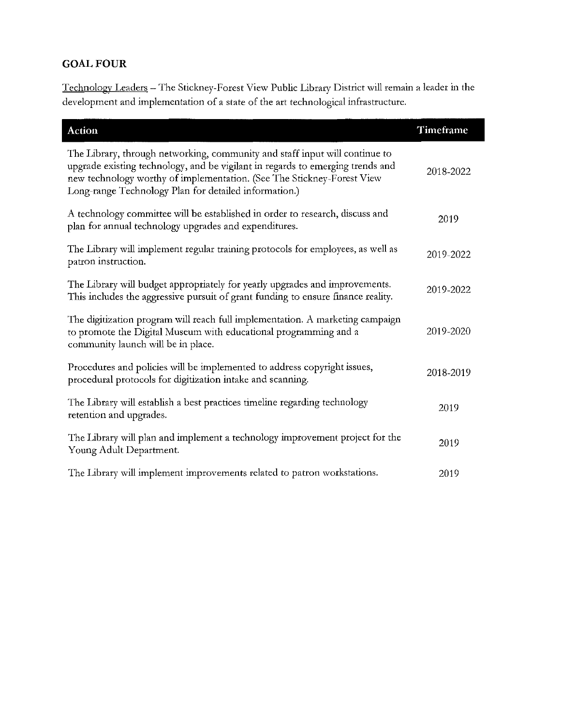## **GOAL FOUR**

Technology Leaders - The Stickney-Forest View Public Library District will remain a leader in the development and implementation of a state of the art technological infrastructure.

| <b>Action</b>                                                                                                                                                                                                                                                                                    | Timeframe |
|--------------------------------------------------------------------------------------------------------------------------------------------------------------------------------------------------------------------------------------------------------------------------------------------------|-----------|
| The Library, through networking, community and staff input will continue to<br>upgrade existing technology, and be vigilant in regards to emerging trends and<br>new technology worthy of implementation. (See The Stickney-Forest View<br>Long-range Technology Plan for detailed information.) | 2018-2022 |
| A technology committee will be established in order to research, discuss and<br>plan for annual technology upgrades and expenditures.                                                                                                                                                            | 2019      |
| The Library will implement regular training protocols for employees, as well as<br>patron instruction.                                                                                                                                                                                           | 2019-2022 |
| The Library will budget appropriately for yearly upgrades and improvements.<br>This includes the aggressive pursuit of grant funding to ensure finance reality.                                                                                                                                  | 2019-2022 |
| The digitization program will reach full implementation. A marketing campaign<br>to promote the Digital Museum with educational programming and a<br>community launch will be in place.                                                                                                          | 2019-2020 |
| Procedures and policies will be implemented to address copyright issues,<br>procedural protocols for digitization intake and scanning.                                                                                                                                                           | 2018-2019 |
| The Library will establish a best practices timeline regarding technology<br>retention and upgrades.                                                                                                                                                                                             | 2019      |
| The Library will plan and implement a technology improvement project for the<br>Young Adult Department.                                                                                                                                                                                          | 2019      |
| The Library will implement improvements related to patron workstations.                                                                                                                                                                                                                          | 2019      |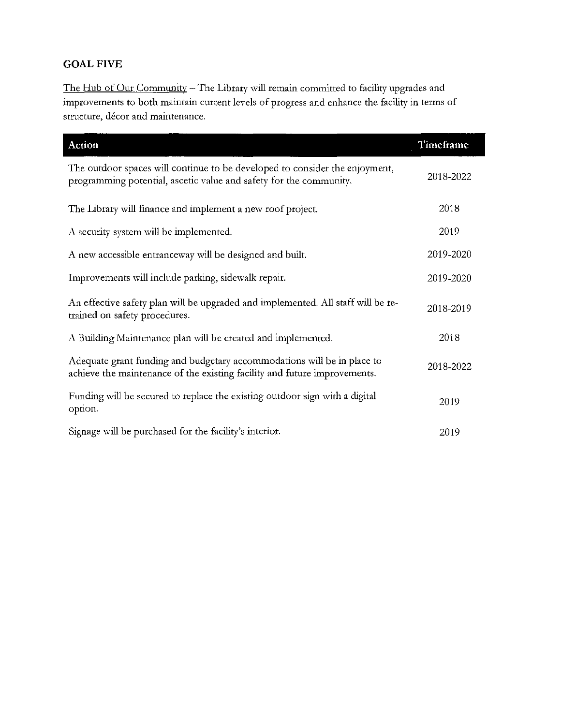## **GOAL FIVE**

I

The Hub of Our Community - The Library will remain committed to facility upgrades and improvements to both maintain current levels of progress and enhance the facility in terms of structure, décor and maintenance.

| <b>Action</b>                                                                                                                                        | Timeframe |
|------------------------------------------------------------------------------------------------------------------------------------------------------|-----------|
| The outdoor spaces will continue to be developed to consider the enjoyment,<br>programming potential, ascetic value and safety for the community.    | 2018-2022 |
| The Library will finance and implement a new roof project.                                                                                           | 2018      |
| A security system will be implemented.                                                                                                               | 2019      |
| A new accessible entranceway will be designed and built.                                                                                             | 2019-2020 |
| Improvements will include parking, sidewalk repair.                                                                                                  | 2019-2020 |
| An effective safety plan will be upgraded and implemented. All staff will be re-<br>trained on safety procedures.                                    | 2018-2019 |
| A Building Maintenance plan will be created and implemented.                                                                                         | 2018      |
| Adequate grant funding and budgetary accommodations will be in place to<br>achieve the maintenance of the existing facility and future improvements. | 2018-2022 |
| Funding will be secured to replace the existing outdoor sign with a digital<br>option.                                                               | 2019      |
| Signage will be purchased for the facility's interior.                                                                                               | 2019      |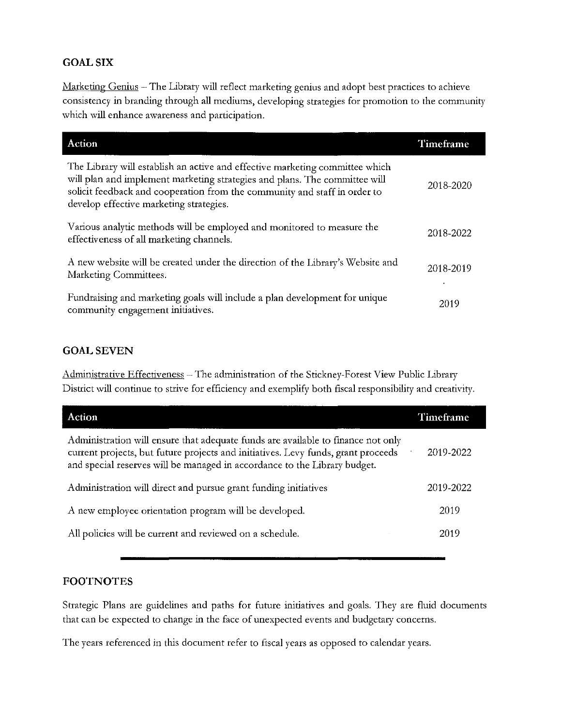#### **GOAL SIX**

Marketing Genius - The Library will reflect marketing genius and adopt best practices to achieve consistency **in** branding through all mediums, developing strategies for promotion to the community which will enhance awareness and participation.

| Action                                                                                                                                                                                                                                                                             | Timeframe |
|------------------------------------------------------------------------------------------------------------------------------------------------------------------------------------------------------------------------------------------------------------------------------------|-----------|
| The Library will establish an active and effective marketing committee which<br>will plan and implement marketing strategies and plans. The committee will<br>solicit feedback and cooperation from the community and staff in order to<br>develop effective marketing strategies. | 2018-2020 |
| Various analytic methods will be employed and monitored to measure the<br>effectiveness of all marketing channels.                                                                                                                                                                 | 2018-2022 |
| A new website will be created under the direction of the Library's Website and<br>Marketing Committees.                                                                                                                                                                            | 2018-2019 |
| Fundraising and marketing goals will include a plan development for unique<br>community engagement initiatives.                                                                                                                                                                    | 2019      |

#### **GOAL SEVEN**

Administrative Effectiveness - The administration of the Stickney-Forest View Public Library District will continue to strive for efficiency and exemplify both fiscal responsibility and creativity.

| <b>Action</b>                                                                                                                                                                                                                                      | Timeframe |
|----------------------------------------------------------------------------------------------------------------------------------------------------------------------------------------------------------------------------------------------------|-----------|
| Administration will ensure that adequate funds are available to finance not only<br>current projects, but future projects and initiatives. Levy funds, grant proceeds<br>and special reserves will be managed in accordance to the Library budget. | 2019-2022 |
| Administration will direct and pursue grant funding initiatives                                                                                                                                                                                    | 2019-2022 |
| A new employee orientation program will be developed.                                                                                                                                                                                              | 2019      |
| All policies will be current and reviewed on a schedule.                                                                                                                                                                                           | 2019      |

#### **FOOTNOTES**

Strategic Plans are guidelines and paths for future initiatives and goals. They are fluid documents that can be expected to change in the face of unexpected events and budgetary concerns.

The years referenced in this document refer to fiscal years as opposed to calendar years.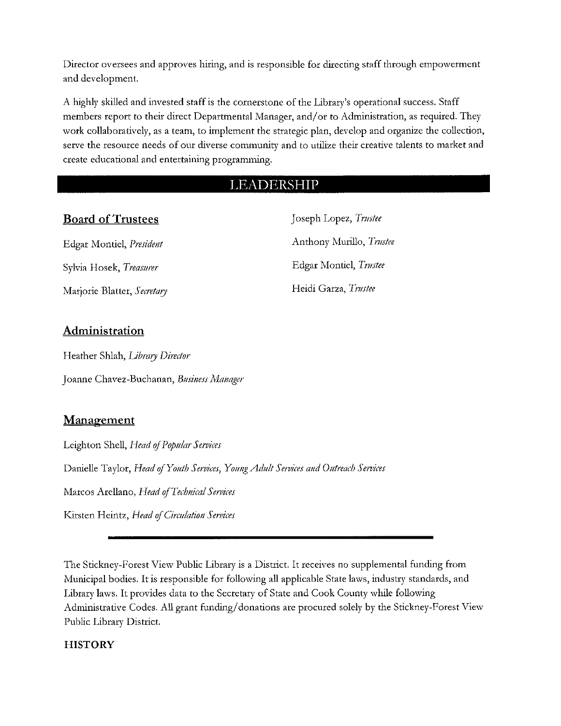Director oversees and approves hiring, and is responsible for directing staff through empowerment and development.

A highly skilled and invested staff is the cornerstone of the Library's operational success. Staff members report to their direct Departmental Manager, and/or to Administration, as required. They work collaboratively, as a team, to implement the strategic plan, develop and organize the collection, serve the resource needs of our diverse community and to utilize their creative talents to market and create educational and entertaining programming.

## **LEADERSHIP**

## **Board of Trustees** Joseph Lopez, *Trustee*

Sylvia Hosek, *Treasurer* **Edgar Montiel**, *Trustee* Marjorie Blatter, Secretary **Maritian Secretary Secretary** *Secretary Secretary Secretary Secretary Secretary Secretary Secretary Secretary Secretary Secretary Secretary Secretary Secretary Se* 

Edgar Montiel, *Pmident* Anthony Murillo, *Tmstee*

## **Administration**

Heather Shlah, *Library Dimtor*  Joanne Chavez-Buchanan, *Business Manager* 

## **Management**

Leighton Shell, *Head of Popular Services* 

Danielle Taylor, *Head of Youth Services, Young Adult Services and Outreach Services* 

Marcos Arellano, *Head ofTeclmical Seivices* 

Kirsten Heintz, *Head of Circulation Services* 

The Stickney-Forest View Public Library is a District. It receives no supplemental funding from Municipal bodies. It is responsible for following all applicable State laws, industry standards, and Library laws. It provides data to the Secretary of State and Cook County while following Administrative Codes. All grant funding/ donations are procured solely by the Stickney-Forest View Public Library District.

#### **HISTORY**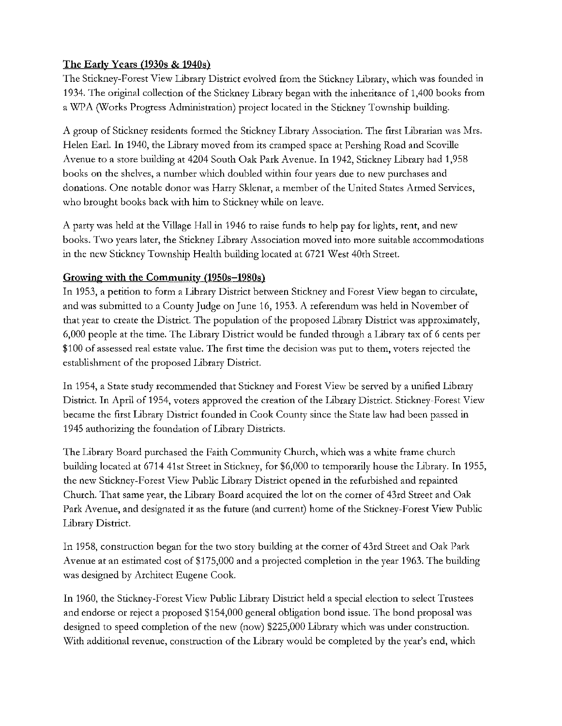#### The Early Years (1930s & 1940s)

The Stickney-Forest View Library District evolved from the Stickney Library, which was founded in 1934. The original collection of the Stickney Library began with the inheritance of 1,400 books from a WPA (Works Progress Administration) project located in the Stickney Township building.

A group of Stickney residents formed the Stickney Library Association. The first Librarian was Mrs. Helen Earl. In 1940, the Library moved from its cramped space at Pershing Road and Scoville Avenue to a store building at 4204 South Oak Park Avenue. In 1942, Stickney Library had 1,958 books on the shelves, a number which doubled within four years due to new purchases and donations. One notable donor was Harry Sklenar, a member of the United States Armed Services, who brought books back with him to Stickney while on leave.

A party was held at the Village Hall in 1946 to raise funds to help pay for lights, rent, and new books. Two years later, the Stickney Library Association moved into more suitable accommodations in the new Stickney Township Health building located at 6721 West 40th Street.

#### Growing with the Community (1950s-1980s)

In 1953, a petition to form a Library District between Stickney and Forest View began to circulate, and was submitted to a County Judge on June 16, 1953. A referendum was held in November of that year to create the District. The population of the proposed Library District was approximately, 6,000 people at the time. The Library District would be funded through a Library tax of 6 cents per \$100 of assessed real estate value. The first time the decision was put to them, voters rejected the establishment of the proposed Library District.

In 1954, a State study recommended that Stickney and Forest View be served by a unified Library District. In April of 1954, voters approved the creation of the Library District. Stickney-Forest View became the first Library District founded in Cook County since the State law had been passed in 1945 authorizing the foundation of Library Districts.

The Library Board purchased the Faith Community Church, which was a white frame church building located at 6714 41st Street in Stickney, for \$6,000 to temporarily house the Library. In 1955, the new Stickney-Forest View Public Library District opened in the refurbished and repainted Church. That same year, the Library Board acquired the lot on the corner of 43rd Street and Oak Park Avenue, and designated it as the future (and current) home of the Stickney-Forest View Public Library District.

In 1958, construction began for the two story building at the corner of 43rd Street and Oak Park Avenue at an estimated cost of \$175,000 and a projected completion in the year 1963. The building was designed by Architect Eugene Cook.

In 1960, the Stickney-Forest View Public Library District held a special election to select Trustees and endorse or reject a proposed \$154,000 general obligation bond issue. The bond proposal was designed to speed completion of the new (now) \$225,000 Library which was under construction. With additional revenue, construction of the Library would be completed by the year's end, which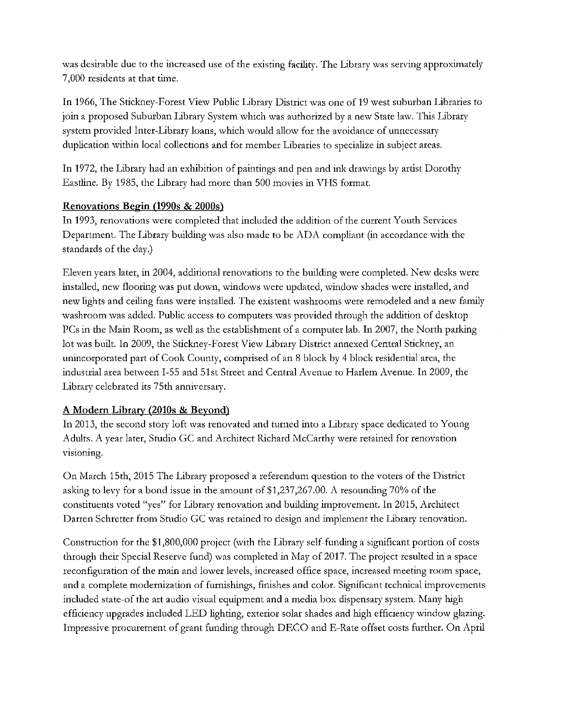was desirable due to the increased use of the existing facility. The Library was serving approximately 7,000 residents at that time.

In 1966, The Stickney-Forest View Public Library District was one of 19 west suburban Libraries to join a proposed Suburban Library System which was authorized by a new State law. This Library system provided Inter-Library loans, which would allow for the avoidance of unnecessary duplication within local collections and for member Libraries to specialize in subject areas.

In 1972, the Library had an exhibition of paintings and pen and ink drawings by artist Dorothy Eastline. By 1985, the Library had more than 500 movies in VHS format.

#### Renovations Begin (1990s & 2000s)

In 1993, renovations were completed that included the addition of the current Youth Services Department. The Library building was also made to be ADA compliant (in accordance with the standards of the day.)

Eleven years later, in 2004, additional renovations to the building were completed. New desks were installed, new flooring was put down, windows were updated, window shades were installed, and new lights and ceiling fans were installed. The existent washrooms were remodeled and a new family washroom was added. Public access to computers was provided through the addition of desktop PCs in the Main Room, as well as the establishment of a computer lab. In 2007, the North parking lot was built. In 2009, the Stickney-Forest View Library District annexed Central Stickney, an unincorporated part of Cook County, comprised of an 8 block by 4 block residential area, the industrial area between I-55 and Slst Street and Central Avenue to Harlem Avenue. In 2009, the Library celebrated its 75th anniversary.

#### A Modern Library (2010s & Beyond)

In 2013, the second story loft was renovated and turned into a Library space dedicated to Young Adults. A year later, Studio GC and Architect Richard McCarthy were retained for renovation **\r1s1orung.** 

On March 15th, 2015 The Library proposed a referendum question to the voters of the District asking to levy for a bond issue in the amount of \$1,237,267.00. A resounding 70% of the constituents voted "yes" for Library renovation and building improvement. In 2015, Architect Darren Schretter from Studio GC was retained to design and implement the Library renovation.

Construction for the \$1,800,000 project (with the Library self-funding a significant portion of costs through their Special Reserve fund) was completed in May of 2017. The project resulted in a space reconfiguration of the main and lower levels, increased office space, increased meeting room space, and a complete modernization of furnishings, finishes and color. Significant technical improvements included state-of the art audio visual equipment and a media box dispensary system. Many high efficiency upgrades included LED lighting, exterior solar shades and high efficiency window glazing. Impressive procurement of grant funding through DECO and E-Rate offset costs further. On April